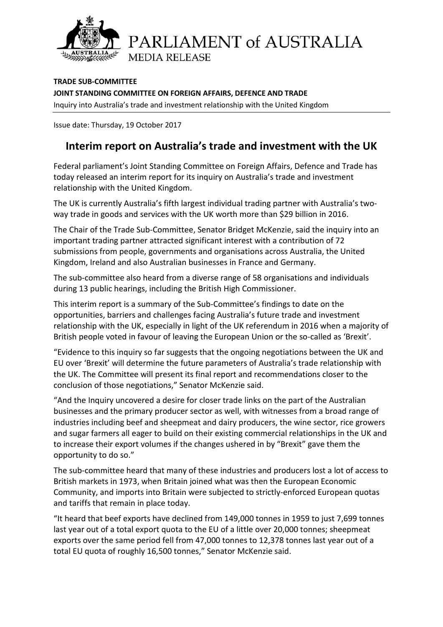

PARLIAMENT of AUSTRALIA **MEDIA RELEASE** 

**TRADE SUB-COMMITTEE JOINT STANDING COMMITTEE ON FOREIGN AFFAIRS, DEFENCE AND TRADE** Inquiry into Australia's trade and investment relationship with the United Kingdom

Issue date: Thursday, 19 October 2017

## **Interim report on Australia's trade and investment with the UK**

Federal parliament's Joint Standing Committee on Foreign Affairs, Defence and Trade has today released an interim report for its inquiry on Australia's trade and investment relationship with the United Kingdom.

The UK is currently Australia's fifth largest individual trading partner with Australia's twoway trade in goods and services with the UK worth more than \$29 billion in 2016.

The Chair of the Trade Sub-Committee, Senator Bridget McKenzie, said the inquiry into an important trading partner attracted significant interest with a contribution of 72 submissions from people, governments and organisations across Australia, the United Kingdom, Ireland and also Australian businesses in France and Germany.

The sub-committee also heard from a diverse range of 58 organisations and individuals during 13 public hearings, including the British High Commissioner.

This interim report is a summary of the Sub-Committee's findings to date on the opportunities, barriers and challenges facing Australia's future trade and investment relationship with the UK, especially in light of the UK referendum in 2016 when a majority of British people voted in favour of leaving the European Union or the so-called as 'Brexit'.

"Evidence to this inquiry so far suggests that the ongoing negotiations between the UK and EU over 'Brexit' will determine the future parameters of Australia's trade relationship with the UK. The Committee will present its final report and recommendations closer to the conclusion of those negotiations," Senator McKenzie said.

"And the Inquiry uncovered a desire for closer trade links on the part of the Australian businesses and the primary producer sector as well, with witnesses from a broad range of industries including beef and sheepmeat and dairy producers, the wine sector, rice growers and sugar farmers all eager to build on their existing commercial relationships in the UK and to increase their export volumes if the changes ushered in by "Brexit" gave them the opportunity to do so."

The sub-committee heard that many of these industries and producers lost a lot of access to British markets in 1973, when Britain joined what was then the European Economic Community, and imports into Britain were subjected to strictly-enforced European quotas and tariffs that remain in place today.

"It heard that beef exports have declined from 149,000 tonnes in 1959 to just 7,699 tonnes last year out of a total export quota to the EU of a little over 20,000 tonnes; sheepmeat exports over the same period fell from 47,000 tonnes to 12,378 tonnes last year out of a total EU quota of roughly 16,500 tonnes," Senator McKenzie said.